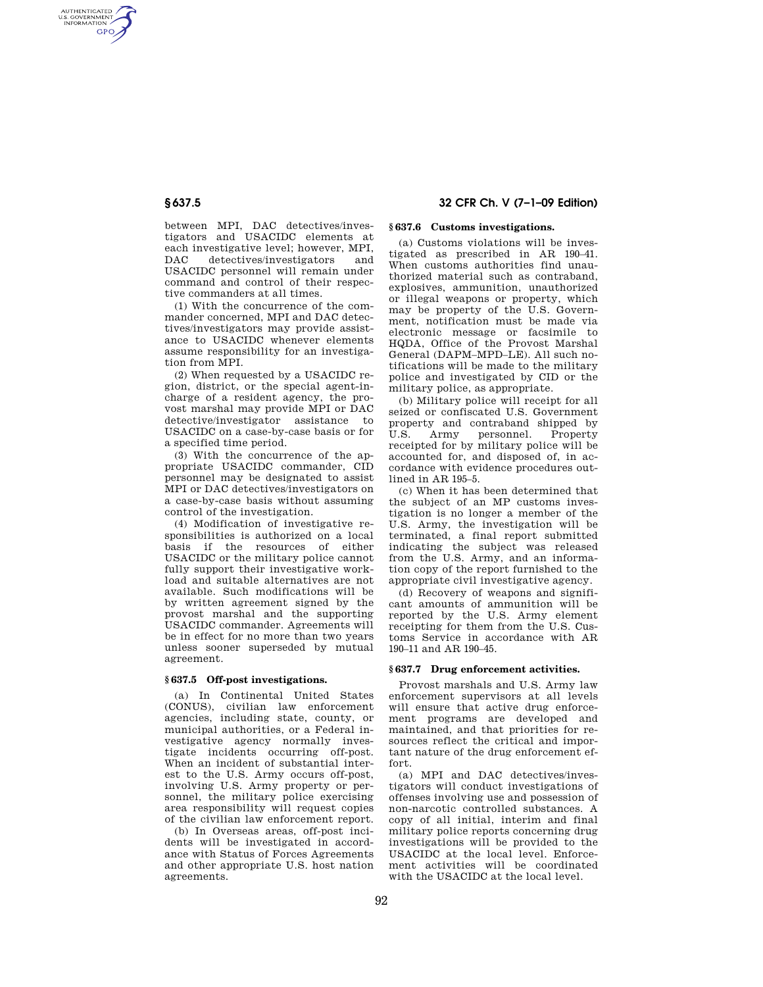AUTHENTICATED<br>U.S. GOVERNMENT<br>INFORMATION **GPO** 

> between MPI, DAC detectives/investigators and USACIDC elements at each investigative level; however, MPI, DAC detectives/investigators and USACIDC personnel will remain under command and control of their respective commanders at all times.

> (1) With the concurrence of the commander concerned, MPI and DAC detectives/investigators may provide assistance to USACIDC whenever elements assume responsibility for an investigation from MPI.

> (2) When requested by a USACIDC region, district, or the special agent-incharge of a resident agency, the provost marshal may provide MPI or DAC detective/investigator assistance to USACIDC on a case-by-case basis or for a specified time period.

> (3) With the concurrence of the appropriate USACIDC commander, CID personnel may be designated to assist MPI or DAC detectives/investigators on a case-by-case basis without assuming control of the investigation.

> (4) Modification of investigative responsibilities is authorized on a local basis if the resources of either USACIDC or the military police cannot fully support their investigative workload and suitable alternatives are not available. Such modifications will be by written agreement signed by the provost marshal and the supporting USACIDC commander. Agreements will be in effect for no more than two years unless sooner superseded by mutual agreement.

# **§ 637.5 Off-post investigations.**

(a) In Continental United States (CONUS), civilian law enforcement agencies, including state, county, or municipal authorities, or a Federal investigative agency normally investigate incidents occurring off-post. When an incident of substantial interest to the U.S. Army occurs off-post, involving U.S. Army property or personnel, the military police exercising area responsibility will request copies of the civilian law enforcement report.

(b) In Overseas areas, off-post incidents will be investigated in accordance with Status of Forces Agreements and other appropriate U.S. host nation agreements<sup>1</sup>

# **§ 637.5 32 CFR Ch. V (7–1–09 Edition)**

# **§ 637.6 Customs investigations.**

(a) Customs violations will be investigated as prescribed in AR 190–41. When customs authorities find unauthorized material such as contraband, explosives, ammunition, unauthorized or illegal weapons or property, which may be property of the U.S. Government, notification must be made via electronic message or facsimile to HQDA, Office of the Provost Marshal General (DAPM–MPD–LE). All such notifications will be made to the military police and investigated by CID or the military police, as appropriate.

(b) Military police will receipt for all seized or confiscated U.S. Government property and contraband shipped by<br>U.S. Army personnel. Property U.S. Army personnel. receipted for by military police will be accounted for, and disposed of, in accordance with evidence procedures outlined in AR 195–5.

(c) When it has been determined that the subject of an MP customs investigation is no longer a member of the U.S. Army, the investigation will be terminated, a final report submitted indicating the subject was released from the U.S. Army, and an information copy of the report furnished to the appropriate civil investigative agency.

(d) Recovery of weapons and significant amounts of ammunition will be reported by the U.S. Army element receipting for them from the U.S. Customs Service in accordance with AR 190–11 and AR 190–45.

#### **§ 637.7 Drug enforcement activities.**

Provost marshals and U.S. Army law enforcement supervisors at all levels will ensure that active drug enforcement programs are developed and maintained, and that priorities for resources reflect the critical and important nature of the drug enforcement effort.

(a) MPI and DAC detectives/investigators will conduct investigations of offenses involving use and possession of non-narcotic controlled substances. A copy of all initial, interim and final military police reports concerning drug investigations will be provided to the USACIDC at the local level. Enforcement activities will be coordinated with the USACIDC at the local level.